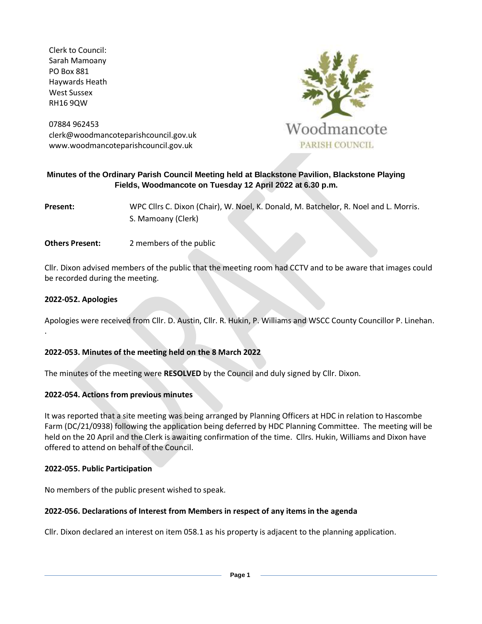Clerk to Council: Sarah Mamoany PO Box 881 Haywards Heath West Sussex RH16 9QW

07884 962453 clerk@woodmancoteparishcouncil.gov.uk www.woodmancoteparishcouncil.gov.uk



# **Minutes of the Ordinary Parish Council Meeting held at Blackstone Pavilion, Blackstone Playing Fields, Woodmancote on Tuesday 12 April 2022 at 6.30 p.m.**

**Present:** WPC Cllrs C. Dixon (Chair), W. Noel, K. Donald, M. Batchelor, R. Noel and L. Morris. S. Mamoany (Clerk)

**Others Present:** 2 members of the public

Cllr. Dixon advised members of the public that the meeting room had CCTV and to be aware that images could be recorded during the meeting.

## **2022-052. Apologies**

.

Apologies were received from Cllr. D. Austin, Cllr. R. Hukin, P. Williams and WSCC County Councillor P. Linehan.

### **2022-053. Minutes of the meeting held on the 8 March 2022**

The minutes of the meeting were **RESOLVED** by the Council and duly signed by Cllr. Dixon.

### **2022-054. Actions from previous minutes**

It was reported that a site meeting was being arranged by Planning Officers at HDC in relation to Hascombe Farm (DC/21/0938) following the application being deferred by HDC Planning Committee. The meeting will be held on the 20 April and the Clerk is awaiting confirmation of the time. Cllrs. Hukin, Williams and Dixon have offered to attend on behalf of the Council.

### **2022-055. Public Participation**

No members of the public present wished to speak.

### **2022-056. Declarations of Interest from Members in respect of any items in the agenda**

Cllr. Dixon declared an interest on item 058.1 as his property is adjacent to the planning application.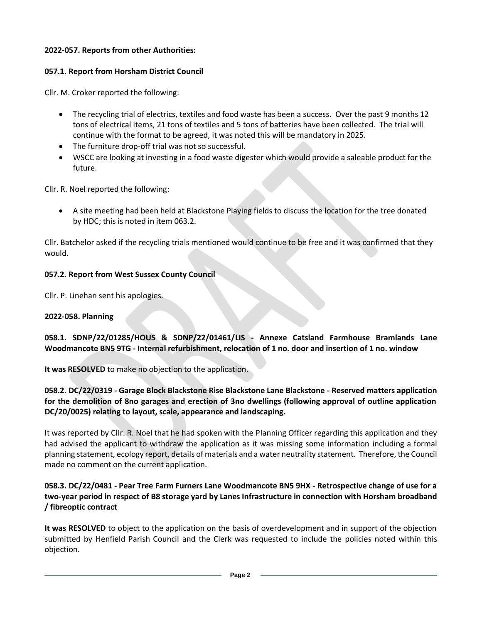# **2022-057. Reports from other Authorities:**

# **057.1. Report from Horsham District Council**

Cllr. M. Croker reported the following:

- The recycling trial of electrics, textiles and food waste has been a success. Over the past 9 months 12 tons of electrical items, 21 tons of textiles and 5 tons of batteries have been collected. The trial will continue with the format to be agreed, it was noted this will be mandatory in 2025.
- The furniture drop-off trial was not so successful.
- WSCC are looking at investing in a food waste digester which would provide a saleable product for the future.

Cllr. R. Noel reported the following:

• A site meeting had been held at Blackstone Playing fields to discuss the location for the tree donated by HDC; this is noted in item 063.2.

Cllr. Batchelor asked if the recycling trials mentioned would continue to be free and it was confirmed that they would.

# **057.2. Report from West Sussex County Council**

Cllr. P. Linehan sent his apologies.

# **2022-058. Planning**

**058.1. SDNP/22/01285/HOUS & SDNP/22/01461/LIS - Annexe Catsland Farmhouse Bramlands Lane Woodmancote BN5 9TG - Internal refurbishment, relocation of 1 no. door and insertion of 1 no. window**

**It was RESOLVED** to make no objection to the application.

**058.2. DC/22/0319 - Garage Block Blackstone Rise Blackstone Lane Blackstone - Reserved matters application for the demolition of 8no garages and erection of 3no dwellings (following approval of outline application DC/20/0025) relating to layout, scale, appearance and landscaping.** 

It was reported by Cllr. R. Noel that he had spoken with the Planning Officer regarding this application and they had advised the applicant to withdraw the application as it was missing some information including a formal planning statement, ecology report, details of materials and a water neutrality statement. Therefore, the Council made no comment on the current application.

# **058.3. DC/22/0481 - Pear Tree Farm Furners Lane Woodmancote BN5 9HX - Retrospective change of use for a two-year period in respect of B8 storage yard by Lanes Infrastructure in connection with Horsham broadband / fibreoptic contract**

**It was RESOLVED** to object to the application on the basis of overdevelopment and in support of the objection submitted by Henfield Parish Council and the Clerk was requested to include the policies noted within this objection.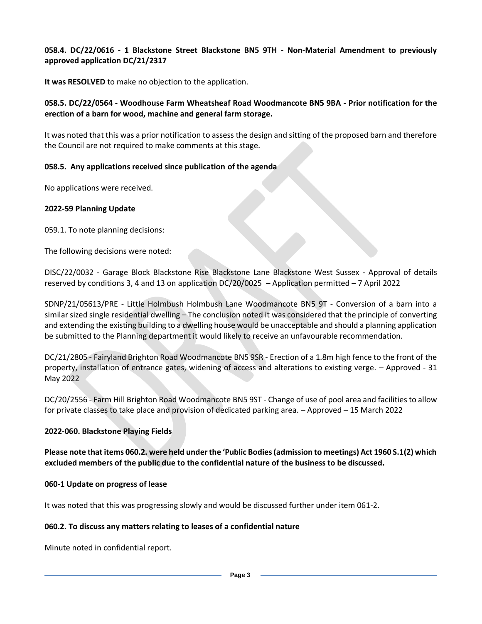**058.4. DC/22/0616 - 1 Blackstone Street Blackstone BN5 9TH - Non-Material Amendment to previously approved application DC/21/2317** 

**It was RESOLVED** to make no objection to the application.

# **058.5. DC/22/0564 - Woodhouse Farm Wheatsheaf Road Woodmancote BN5 9BA - Prior notification for the erection of a barn for wood, machine and general farm storage.**

It was noted that this was a prior notification to assess the design and sitting of the proposed barn and therefore the Council are not required to make comments at this stage.

# **058.5. Any applications received since publication of the agenda**

No applications were received.

## **2022-59 Planning Update**

059.1. To note planning decisions:

The following decisions were noted:

DISC/22/0032 - Garage Block Blackstone Rise Blackstone Lane Blackstone West Sussex - Approval of details reserved by conditions 3, 4 and 13 on application DC/20/0025 – Application permitted – 7 April 2022

SDNP/21/05613/PRE - Little Holmbush Holmbush Lane Woodmancote BN5 9T - Conversion of a barn into a similar sized single residential dwelling – The conclusion noted it was considered that the principle of converting and extending the existing building to a dwelling house would be unacceptable and should a planning application be submitted to the Planning department it would likely to receive an unfavourable recommendation.

DC/21/2805 - Fairyland Brighton Road Woodmancote BN5 9SR - Erection of a 1.8m high fence to the front of the property, installation of entrance gates, widening of access and alterations to existing verge. – Approved - 31 May 2022

DC/20/2556 - Farm Hill Brighton Road Woodmancote BN5 9ST - Change of use of pool area and facilities to allow for private classes to take place and provision of dedicated parking area. – Approved – 15 March 2022

### **2022-060. Blackstone Playing Fields**

**Please note that items 060.2. were held under the 'Public Bodies (admission to meetings) Act 1960 S.1(2) which excluded members of the public due to the confidential nature of the business to be discussed.** 

### **060-1 Update on progress of lease**

It was noted that this was progressing slowly and would be discussed further under item 061-2.

# **060.2. To discuss any matters relating to leases of a confidential nature**

Minute noted in confidential report.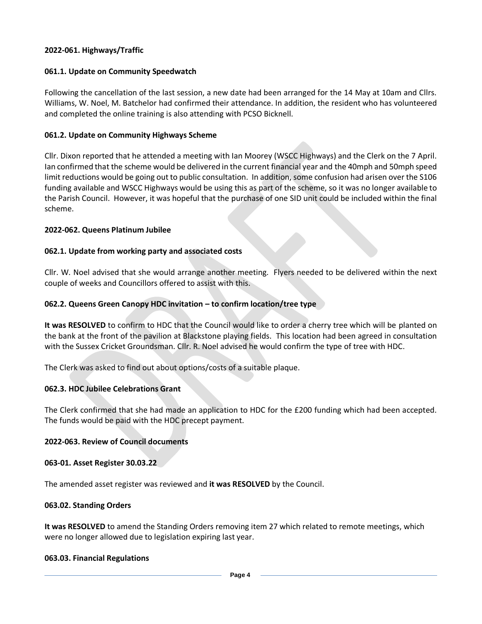## **2022-061. Highways/Traffic**

## **061.1. Update on Community Speedwatch**

Following the cancellation of the last session, a new date had been arranged for the 14 May at 10am and Cllrs. Williams, W. Noel, M. Batchelor had confirmed their attendance. In addition, the resident who has volunteered and completed the online training is also attending with PCSO Bicknell.

### **061.2. Update on Community Highways Scheme**

Cllr. Dixon reported that he attended a meeting with Ian Moorey (WSCC Highways) and the Clerk on the 7 April. Ian confirmed that the scheme would be delivered in the current financial year and the 40mph and 50mph speed limit reductions would be going out to public consultation. In addition, some confusion had arisen over the S106 funding available and WSCC Highways would be using this as part of the scheme, so it was no longer available to the Parish Council. However, it was hopeful that the purchase of one SID unit could be included within the final scheme.

## **2022-062. Queens Platinum Jubilee**

## **062.1. Update from working party and associated costs**

Cllr. W. Noel advised that she would arrange another meeting. Flyers needed to be delivered within the next couple of weeks and Councillors offered to assist with this.

## **062.2. Queens Green Canopy HDC invitation – to confirm location/tree type**

**It was RESOLVED** to confirm to HDC that the Council would like to order a cherry tree which will be planted on the bank at the front of the pavilion at Blackstone playing fields. This location had been agreed in consultation with the Sussex Cricket Groundsman. Cllr. R. Noel advised he would confirm the type of tree with HDC.

The Clerk was asked to find out about options/costs of a suitable plaque.

### **062.3. HDC Jubilee Celebrations Grant**

The Clerk confirmed that she had made an application to HDC for the £200 funding which had been accepted. The funds would be paid with the HDC precept payment.

### **2022-063. Review of Council documents**

### **063-01. Asset Register 30.03.22**

The amended asset register was reviewed and **it was RESOLVED** by the Council.

### **063.02. Standing Orders**

**It was RESOLVED** to amend the Standing Orders removing item 27 which related to remote meetings, which were no longer allowed due to legislation expiring last year.

### **063.03. Financial Regulations**